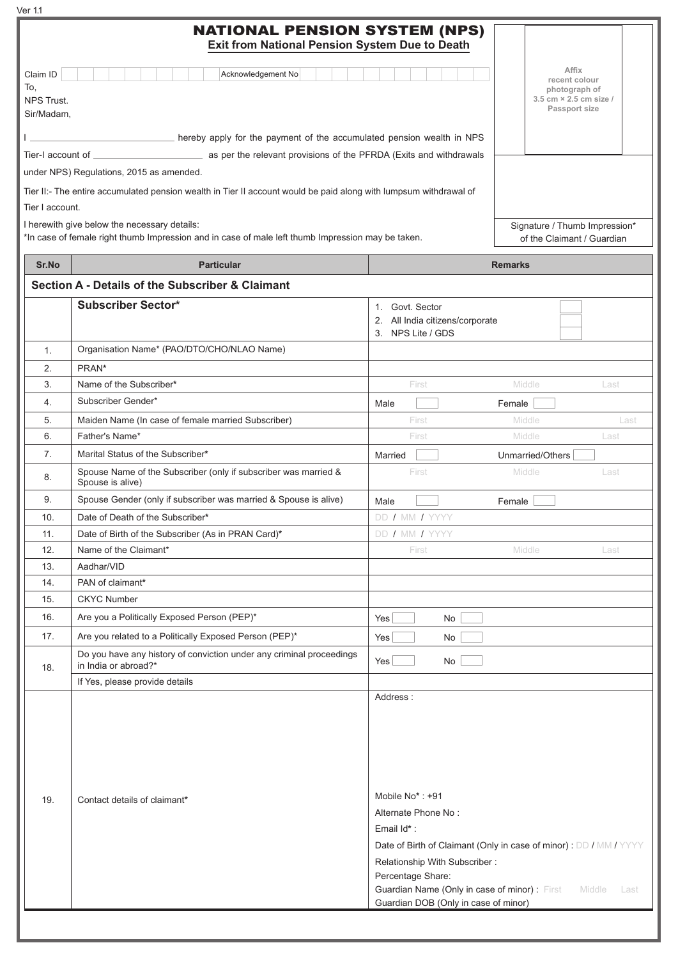| Ver 1.1                                            | <b>NATIONAL PENSION SYSTEM (NPS)</b><br>Exit from National Pension System Due to Death                                                            |                                                                                                                                        |                                                                                    |      |
|----------------------------------------------------|---------------------------------------------------------------------------------------------------------------------------------------------------|----------------------------------------------------------------------------------------------------------------------------------------|------------------------------------------------------------------------------------|------|
| Claim ID<br>To,<br><b>NPS Trust.</b><br>Sir/Madam, | Acknowledgement No                                                                                                                                |                                                                                                                                        | Affix<br>recent colour<br>photograph of<br>3.5 cm × 2.5 cm size /<br>Passport size |      |
|                                                    | hereby apply for the payment of the accumulated pension wealth in NPS                                                                             |                                                                                                                                        |                                                                                    |      |
|                                                    |                                                                                                                                                   |                                                                                                                                        |                                                                                    |      |
|                                                    | under NPS) Regulations, 2015 as amended.                                                                                                          |                                                                                                                                        |                                                                                    |      |
|                                                    | Tier II:- The entire accumulated pension wealth in Tier II account would be paid along with lumpsum withdrawal of                                 |                                                                                                                                        |                                                                                    |      |
| Tier I account.                                    |                                                                                                                                                   |                                                                                                                                        |                                                                                    |      |
|                                                    | I herewith give below the necessary details:<br>*In case of female right thumb Impression and in case of male left thumb Impression may be taken. |                                                                                                                                        | Signature / Thumb Impression*<br>of the Claimant / Guardian                        |      |
| Sr.No                                              | <b>Particular</b>                                                                                                                                 |                                                                                                                                        | <b>Remarks</b>                                                                     |      |
|                                                    | Section A - Details of the Subscriber & Claimant                                                                                                  |                                                                                                                                        |                                                                                    |      |
|                                                    | <b>Subscriber Sector*</b>                                                                                                                         | 1. Govt. Sector<br>2. All India citizens/corporate<br>3. NPS Lite / GDS                                                                |                                                                                    |      |
| 1.                                                 | Organisation Name* (PAO/DTO/CHO/NLAO Name)                                                                                                        |                                                                                                                                        |                                                                                    |      |
| 2.                                                 | PRAN*                                                                                                                                             |                                                                                                                                        |                                                                                    |      |
| 3.                                                 | Name of the Subscriber*                                                                                                                           | First                                                                                                                                  | Middle<br>Last                                                                     |      |
| 4.                                                 | Subscriber Gender*                                                                                                                                | Male                                                                                                                                   | Female                                                                             |      |
| 5.                                                 | Maiden Name (In case of female married Subscriber)                                                                                                | First                                                                                                                                  | Middle                                                                             | Last |
| 6.                                                 | Father's Name*                                                                                                                                    | First                                                                                                                                  | Middle<br>Last                                                                     |      |
| 7.                                                 | Marital Status of the Subscriber*                                                                                                                 | Married                                                                                                                                | Unmarried/Others                                                                   |      |
| 8.                                                 | Spouse Name of the Subscriber (only if subscriber was married &<br>Spouse is alive)                                                               | First                                                                                                                                  | Middle<br>Last                                                                     |      |
| 9.                                                 | Spouse Gender (only if subscriber was married & Spouse is alive)                                                                                  | Male                                                                                                                                   | Female                                                                             |      |
| 10.                                                | Date of Death of the Subscriber*                                                                                                                  | DD / MM / YYYY                                                                                                                         |                                                                                    |      |
| 11.                                                | Date of Birth of the Subscriber (As in PRAN Card)*                                                                                                | DD / MM / YYYY                                                                                                                         |                                                                                    |      |
| 12.                                                | Name of the Claimant*                                                                                                                             | First                                                                                                                                  | Middle<br>Last                                                                     |      |
| 13.                                                | Aadhar/VID                                                                                                                                        |                                                                                                                                        |                                                                                    |      |
| 14.                                                | PAN of claimant*                                                                                                                                  |                                                                                                                                        |                                                                                    |      |
| 15.                                                | <b>CKYC Number</b>                                                                                                                                |                                                                                                                                        |                                                                                    |      |
| 16.                                                | Are you a Politically Exposed Person (PEP)*                                                                                                       | Yes<br>No                                                                                                                              |                                                                                    |      |
| 17.                                                | Are you related to a Politically Exposed Person (PEP)*                                                                                            | Yes<br>No                                                                                                                              |                                                                                    |      |
| 18.                                                | Do you have any history of conviction under any criminal proceedings<br>in India or abroad?*                                                      | Yes<br>No                                                                                                                              |                                                                                    |      |
|                                                    | If Yes, please provide details                                                                                                                    |                                                                                                                                        |                                                                                    |      |
| 19.                                                | Contact details of claimant*                                                                                                                      | Address:<br>Mobile No*: +91<br>Alternate Phone No:<br>Email Id*:<br>Date of Birth of Claimant (Only in case of minor) : DD / MM / YYYY |                                                                                    |      |

Guardian Name (Only in case of minor) : First Middle Last

Guardian DOB (Only in case of minor)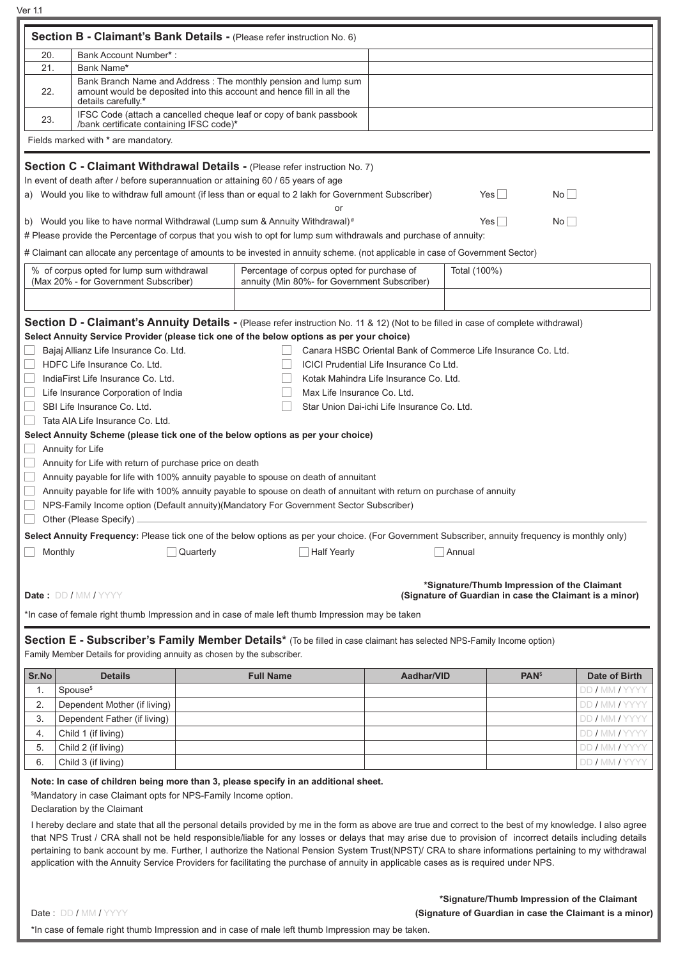Ver 1.1

| Section B - Claimant's Bank Details - (Please refer instruction No. 6)<br>20.<br>Bank Account Number*:<br>21.<br>Bank Name*<br>Bank Branch Name and Address : The monthly pension and lump sum<br>amount would be deposited into this account and hence fill in all the<br>22.<br>details carefully.*<br>IFSC Code (attach a cancelled cheque leaf or copy of bank passbook<br>23.<br>/bank certificate containing IFSC code)*<br>Fields marked with * are mandatory.<br>Section C - Claimant Withdrawal Details - (Please refer instruction No. 7)<br>In event of death after / before superannuation or attaining 60 / 65 years of age<br>a) Would you like to withdraw full amount (if less than or equal to 2 lakh for Government Subscriber)<br>No<br>$Yes \mid \mid$<br>or<br>$Yes \Box$<br>No<br>b) Would you like to have normal Withdrawal (Lump sum & Annuity Withdrawal) <sup>#</sup><br># Please provide the Percentage of corpus that you wish to opt for lump sum withdrawals and purchase of annuity: |  |  |  |  |  |  |  |  |
|----------------------------------------------------------------------------------------------------------------------------------------------------------------------------------------------------------------------------------------------------------------------------------------------------------------------------------------------------------------------------------------------------------------------------------------------------------------------------------------------------------------------------------------------------------------------------------------------------------------------------------------------------------------------------------------------------------------------------------------------------------------------------------------------------------------------------------------------------------------------------------------------------------------------------------------------------------------------------------------------------------------------|--|--|--|--|--|--|--|--|
|                                                                                                                                                                                                                                                                                                                                                                                                                                                                                                                                                                                                                                                                                                                                                                                                                                                                                                                                                                                                                      |  |  |  |  |  |  |  |  |
|                                                                                                                                                                                                                                                                                                                                                                                                                                                                                                                                                                                                                                                                                                                                                                                                                                                                                                                                                                                                                      |  |  |  |  |  |  |  |  |
|                                                                                                                                                                                                                                                                                                                                                                                                                                                                                                                                                                                                                                                                                                                                                                                                                                                                                                                                                                                                                      |  |  |  |  |  |  |  |  |
|                                                                                                                                                                                                                                                                                                                                                                                                                                                                                                                                                                                                                                                                                                                                                                                                                                                                                                                                                                                                                      |  |  |  |  |  |  |  |  |
|                                                                                                                                                                                                                                                                                                                                                                                                                                                                                                                                                                                                                                                                                                                                                                                                                                                                                                                                                                                                                      |  |  |  |  |  |  |  |  |
|                                                                                                                                                                                                                                                                                                                                                                                                                                                                                                                                                                                                                                                                                                                                                                                                                                                                                                                                                                                                                      |  |  |  |  |  |  |  |  |
|                                                                                                                                                                                                                                                                                                                                                                                                                                                                                                                                                                                                                                                                                                                                                                                                                                                                                                                                                                                                                      |  |  |  |  |  |  |  |  |
|                                                                                                                                                                                                                                                                                                                                                                                                                                                                                                                                                                                                                                                                                                                                                                                                                                                                                                                                                                                                                      |  |  |  |  |  |  |  |  |
|                                                                                                                                                                                                                                                                                                                                                                                                                                                                                                                                                                                                                                                                                                                                                                                                                                                                                                                                                                                                                      |  |  |  |  |  |  |  |  |
|                                                                                                                                                                                                                                                                                                                                                                                                                                                                                                                                                                                                                                                                                                                                                                                                                                                                                                                                                                                                                      |  |  |  |  |  |  |  |  |
|                                                                                                                                                                                                                                                                                                                                                                                                                                                                                                                                                                                                                                                                                                                                                                                                                                                                                                                                                                                                                      |  |  |  |  |  |  |  |  |
|                                                                                                                                                                                                                                                                                                                                                                                                                                                                                                                                                                                                                                                                                                                                                                                                                                                                                                                                                                                                                      |  |  |  |  |  |  |  |  |
|                                                                                                                                                                                                                                                                                                                                                                                                                                                                                                                                                                                                                                                                                                                                                                                                                                                                                                                                                                                                                      |  |  |  |  |  |  |  |  |
|                                                                                                                                                                                                                                                                                                                                                                                                                                                                                                                                                                                                                                                                                                                                                                                                                                                                                                                                                                                                                      |  |  |  |  |  |  |  |  |
| # Claimant can allocate any percentage of amounts to be invested in annuity scheme. (not applicable in case of Government Sector)                                                                                                                                                                                                                                                                                                                                                                                                                                                                                                                                                                                                                                                                                                                                                                                                                                                                                    |  |  |  |  |  |  |  |  |
| % of corpus opted for lump sum withdrawal<br>Percentage of corpus opted for purchase of<br>Total (100%)                                                                                                                                                                                                                                                                                                                                                                                                                                                                                                                                                                                                                                                                                                                                                                                                                                                                                                              |  |  |  |  |  |  |  |  |
| (Max 20% - for Government Subscriber)<br>annuity (Min 80%- for Government Subscriber)                                                                                                                                                                                                                                                                                                                                                                                                                                                                                                                                                                                                                                                                                                                                                                                                                                                                                                                                |  |  |  |  |  |  |  |  |
|                                                                                                                                                                                                                                                                                                                                                                                                                                                                                                                                                                                                                                                                                                                                                                                                                                                                                                                                                                                                                      |  |  |  |  |  |  |  |  |
| Section D - Claimant's Annuity Details - (Please refer instruction No. 11 & 12) (Not to be filled in case of complete withdrawal)                                                                                                                                                                                                                                                                                                                                                                                                                                                                                                                                                                                                                                                                                                                                                                                                                                                                                    |  |  |  |  |  |  |  |  |
| Select Annuity Service Provider (please tick one of the below options as per your choice)                                                                                                                                                                                                                                                                                                                                                                                                                                                                                                                                                                                                                                                                                                                                                                                                                                                                                                                            |  |  |  |  |  |  |  |  |
| Bajaj Allianz Life Insurance Co. Ltd.<br>Canara HSBC Oriental Bank of Commerce Life Insurance Co. Ltd.                                                                                                                                                                                                                                                                                                                                                                                                                                                                                                                                                                                                                                                                                                                                                                                                                                                                                                               |  |  |  |  |  |  |  |  |
| HDFC Life Insurance Co. Ltd.<br>ICICI Prudential Life Insurance Co Ltd.                                                                                                                                                                                                                                                                                                                                                                                                                                                                                                                                                                                                                                                                                                                                                                                                                                                                                                                                              |  |  |  |  |  |  |  |  |
| IndiaFirst Life Insurance Co. Ltd.<br>Kotak Mahindra Life Insurance Co. Ltd.                                                                                                                                                                                                                                                                                                                                                                                                                                                                                                                                                                                                                                                                                                                                                                                                                                                                                                                                         |  |  |  |  |  |  |  |  |
| Life Insurance Corporation of India<br>Max Life Insurance Co. Ltd.                                                                                                                                                                                                                                                                                                                                                                                                                                                                                                                                                                                                                                                                                                                                                                                                                                                                                                                                                   |  |  |  |  |  |  |  |  |
| SBI Life Insurance Co. Ltd.<br>Star Union Dai-ichi Life Insurance Co. Ltd.                                                                                                                                                                                                                                                                                                                                                                                                                                                                                                                                                                                                                                                                                                                                                                                                                                                                                                                                           |  |  |  |  |  |  |  |  |
|                                                                                                                                                                                                                                                                                                                                                                                                                                                                                                                                                                                                                                                                                                                                                                                                                                                                                                                                                                                                                      |  |  |  |  |  |  |  |  |
| Tata AIA Life Insurance Co. Ltd.                                                                                                                                                                                                                                                                                                                                                                                                                                                                                                                                                                                                                                                                                                                                                                                                                                                                                                                                                                                     |  |  |  |  |  |  |  |  |
| Select Annuity Scheme (please tick one of the below options as per your choice)                                                                                                                                                                                                                                                                                                                                                                                                                                                                                                                                                                                                                                                                                                                                                                                                                                                                                                                                      |  |  |  |  |  |  |  |  |
| Annuity for Life                                                                                                                                                                                                                                                                                                                                                                                                                                                                                                                                                                                                                                                                                                                                                                                                                                                                                                                                                                                                     |  |  |  |  |  |  |  |  |
| Annuity for Life with return of purchase price on death                                                                                                                                                                                                                                                                                                                                                                                                                                                                                                                                                                                                                                                                                                                                                                                                                                                                                                                                                              |  |  |  |  |  |  |  |  |
| Annuity payable for life with 100% annuity payable to spouse on death of annuitant                                                                                                                                                                                                                                                                                                                                                                                                                                                                                                                                                                                                                                                                                                                                                                                                                                                                                                                                   |  |  |  |  |  |  |  |  |
| Annuity payable for life with 100% annuity payable to spouse on death of annuitant with return on purchase of annuity                                                                                                                                                                                                                                                                                                                                                                                                                                                                                                                                                                                                                                                                                                                                                                                                                                                                                                |  |  |  |  |  |  |  |  |
| NPS-Family Income option (Default annuity)(Mandatory For Government Sector Subscriber)                                                                                                                                                                                                                                                                                                                                                                                                                                                                                                                                                                                                                                                                                                                                                                                                                                                                                                                               |  |  |  |  |  |  |  |  |
| Other (Please Specify)                                                                                                                                                                                                                                                                                                                                                                                                                                                                                                                                                                                                                                                                                                                                                                                                                                                                                                                                                                                               |  |  |  |  |  |  |  |  |
|                                                                                                                                                                                                                                                                                                                                                                                                                                                                                                                                                                                                                                                                                                                                                                                                                                                                                                                                                                                                                      |  |  |  |  |  |  |  |  |
| Select Annuity Frequency: Please tick one of the below options as per your choice. (For Government Subscriber, annuity frequency is monthly only)                                                                                                                                                                                                                                                                                                                                                                                                                                                                                                                                                                                                                                                                                                                                                                                                                                                                    |  |  |  |  |  |  |  |  |
| Monthly<br><b>Half Yearly</b><br>Annual<br>Quarterly                                                                                                                                                                                                                                                                                                                                                                                                                                                                                                                                                                                                                                                                                                                                                                                                                                                                                                                                                                 |  |  |  |  |  |  |  |  |
|                                                                                                                                                                                                                                                                                                                                                                                                                                                                                                                                                                                                                                                                                                                                                                                                                                                                                                                                                                                                                      |  |  |  |  |  |  |  |  |
| *Signature/Thumb Impression of the Claimant                                                                                                                                                                                                                                                                                                                                                                                                                                                                                                                                                                                                                                                                                                                                                                                                                                                                                                                                                                          |  |  |  |  |  |  |  |  |
| Date: DD / MM / YYYY<br>(Signature of Guardian in case the Claimant is a minor)                                                                                                                                                                                                                                                                                                                                                                                                                                                                                                                                                                                                                                                                                                                                                                                                                                                                                                                                      |  |  |  |  |  |  |  |  |
| *In case of female right thumb Impression and in case of male left thumb Impression may be taken                                                                                                                                                                                                                                                                                                                                                                                                                                                                                                                                                                                                                                                                                                                                                                                                                                                                                                                     |  |  |  |  |  |  |  |  |
|                                                                                                                                                                                                                                                                                                                                                                                                                                                                                                                                                                                                                                                                                                                                                                                                                                                                                                                                                                                                                      |  |  |  |  |  |  |  |  |
| Section E - Subscriber's Family Member Details* (To be filled in case claimant has selected NPS-Family Income option)                                                                                                                                                                                                                                                                                                                                                                                                                                                                                                                                                                                                                                                                                                                                                                                                                                                                                                |  |  |  |  |  |  |  |  |
| Family Member Details for providing annuity as chosen by the subscriber.                                                                                                                                                                                                                                                                                                                                                                                                                                                                                                                                                                                                                                                                                                                                                                                                                                                                                                                                             |  |  |  |  |  |  |  |  |
| <b>Date of Birth</b><br>Sr.No<br><b>Details</b><br><b>Full Name</b><br>Aadhar/VID<br><b>PAN</b> <sup>\$</sup>                                                                                                                                                                                                                                                                                                                                                                                                                                                                                                                                                                                                                                                                                                                                                                                                                                                                                                        |  |  |  |  |  |  |  |  |
| DD / MM / YYYY<br>1.<br>Spouse <sup>\$</sup>                                                                                                                                                                                                                                                                                                                                                                                                                                                                                                                                                                                                                                                                                                                                                                                                                                                                                                                                                                         |  |  |  |  |  |  |  |  |
| DD / MM / YYYY<br>2.<br>Dependent Mother (if living)                                                                                                                                                                                                                                                                                                                                                                                                                                                                                                                                                                                                                                                                                                                                                                                                                                                                                                                                                                 |  |  |  |  |  |  |  |  |
| DD / MM / YYYY<br>3.<br>Dependent Father (if living)                                                                                                                                                                                                                                                                                                                                                                                                                                                                                                                                                                                                                                                                                                                                                                                                                                                                                                                                                                 |  |  |  |  |  |  |  |  |
| 4.                                                                                                                                                                                                                                                                                                                                                                                                                                                                                                                                                                                                                                                                                                                                                                                                                                                                                                                                                                                                                   |  |  |  |  |  |  |  |  |
| DD / MM / YYYY<br>Child 1 (if living)<br>5.                                                                                                                                                                                                                                                                                                                                                                                                                                                                                                                                                                                                                                                                                                                                                                                                                                                                                                                                                                          |  |  |  |  |  |  |  |  |
| DD / MM / YYYY<br>Child 2 (if living)                                                                                                                                                                                                                                                                                                                                                                                                                                                                                                                                                                                                                                                                                                                                                                                                                                                                                                                                                                                |  |  |  |  |  |  |  |  |
| DD / MM / YYYY<br>6.<br>Child 3 (if living)                                                                                                                                                                                                                                                                                                                                                                                                                                                                                                                                                                                                                                                                                                                                                                                                                                                                                                                                                                          |  |  |  |  |  |  |  |  |
| Note: In case of children being more than 3, please specify in an additional sheet.                                                                                                                                                                                                                                                                                                                                                                                                                                                                                                                                                                                                                                                                                                                                                                                                                                                                                                                                  |  |  |  |  |  |  |  |  |
| \$Mandatory in case Claimant opts for NPS-Family Income option.                                                                                                                                                                                                                                                                                                                                                                                                                                                                                                                                                                                                                                                                                                                                                                                                                                                                                                                                                      |  |  |  |  |  |  |  |  |
| Declaration by the Claimant                                                                                                                                                                                                                                                                                                                                                                                                                                                                                                                                                                                                                                                                                                                                                                                                                                                                                                                                                                                          |  |  |  |  |  |  |  |  |
| I hereby declare and state that all the personal details provided by me in the form as above are true and correct to the best of my knowledge. I also agree                                                                                                                                                                                                                                                                                                                                                                                                                                                                                                                                                                                                                                                                                                                                                                                                                                                          |  |  |  |  |  |  |  |  |
| that NPS Trust / CRA shall not be held responsible/liable for any losses or delays that may arise due to provision of incorrect details including details                                                                                                                                                                                                                                                                                                                                                                                                                                                                                                                                                                                                                                                                                                                                                                                                                                                            |  |  |  |  |  |  |  |  |
| pertaining to bank account by me. Further, I authorize the National Pension System Trust(NPST)/ CRA to share informations pertaining to my withdrawal                                                                                                                                                                                                                                                                                                                                                                                                                                                                                                                                                                                                                                                                                                                                                                                                                                                                |  |  |  |  |  |  |  |  |
| application with the Annuity Service Providers for facilitating the purchase of annuity in applicable cases as is required under NPS.                                                                                                                                                                                                                                                                                                                                                                                                                                                                                                                                                                                                                                                                                                                                                                                                                                                                                |  |  |  |  |  |  |  |  |
|                                                                                                                                                                                                                                                                                                                                                                                                                                                                                                                                                                                                                                                                                                                                                                                                                                                                                                                                                                                                                      |  |  |  |  |  |  |  |  |

Date : DD / MM / YYYY **(Signature of Guardian in case the Claimant is a minor)**

\*In case of female right thumb Impression and in case of male left thumb Impression may be taken.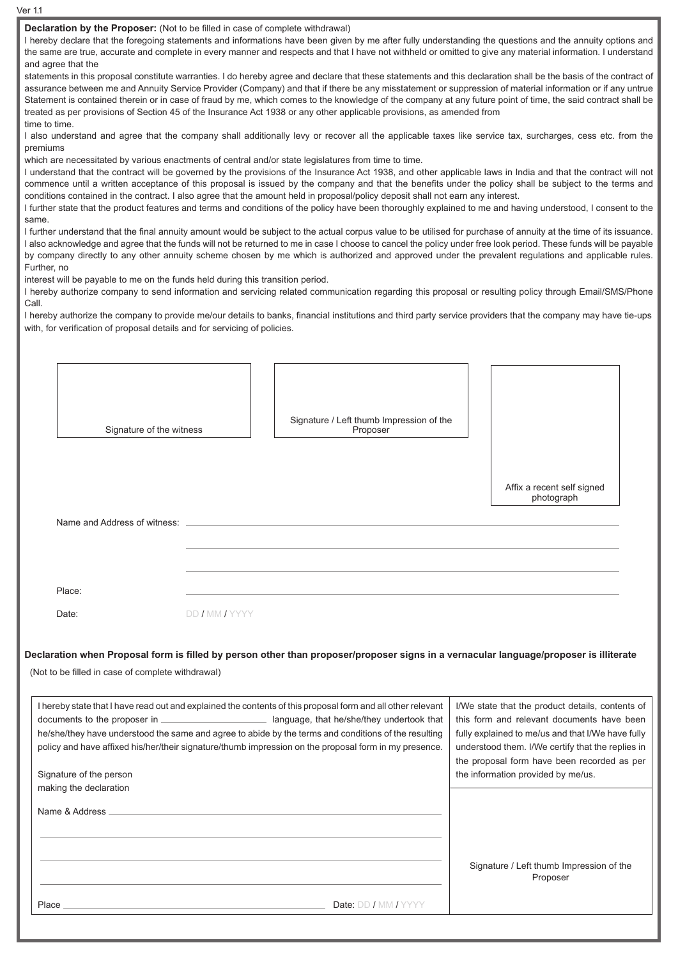Affix a recent self signed photograph **Declaration by the Proposer:** (Not to be filled in case of complete withdrawal) I hereby declare that the foregoing statements and informations have been given by me after fully understanding the questions and the annuity options and the same are true, accurate and complete in every manner and respects and that I have not withheld or omitted to give any material information. I understand and agree that the statements in this proposal constitute warranties. I do hereby agree and declare that these statements and this declaration shall be the basis of the contract of assurance between me and Annuity Service Provider (Company) and that if there be any misstatement or suppression of material information or if any untrue Statement is contained therein or in case of fraud by me, which comes to the knowledge of the company at any future point of time, the said contract shall be treated as per provisions of Section 45 of the Insurance Act 1938 or any other applicable provisions, as amended from time to time. I also understand and agree that the company shall additionally levy or recover all the applicable taxes like service tax, surcharges, cess etc. from the premiums which are necessitated by various enactments of central and/or state legislatures from time to time. I understand that the contract will be governed by the provisions of the Insurance Act 1938, and other applicable laws in India and that the contract will not commence until a written acceptance of this proposal is issued by the company and that the benefits under the policy shall be subject to the terms and conditions contained in the contract. I also agree that the amount held in proposal/policy deposit shall not earn any interest. I further state that the product features and terms and conditions of the policy have been thoroughly explained to me and having understood, I consent to the same. I further understand that the final annuity amount would be subject to the actual corpus value to be utilised for purchase of annuity at the time of its issuance. I also acknowledge and agree that the funds will not be returned to me in case I choose to cancel the policy under free look period. These funds will be payable by company directly to any other annuity scheme chosen by me which is authorized and approved under the prevalent regulations and applicable rules. Further, no interest will be payable to me on the funds held during this transition period. I hereby authorize company to send information and servicing related communication regarding this proposal or resulting policy through Email/SMS/Phone Call I hereby authorize the company to provide me/our details to banks, financial institutions and third party service providers that the company may have tie-ups with, for verification of proposal details and for servicing of policies. Signature of the witness Signature / Left thumb Impression of the Proposer Name and Address of witness: Place: Date: DD / MM / YYYY **Declaration when Proposal form is filled by person other than proposer/proposer signs in a vernacular language/proposer is illiterate** (Not to be filled in case of complete withdrawal) I hereby state that I have read out and explained the contents of this proposal form and all other relevant documents to the proposer in **language**, that he/she/they undertook that he/she/they have understood the same and agree to abide by the terms and conditions of the resulting policy and have affixed his/her/their signature/thumb impression on the proposal form in my presence. Signature of the person making the declaration Name & Address Place Date: DD / MM / YYYY I/We state that the product details, contents of this form and relevant documents have been fully explained to me/us and that I/We have fully understood them. I/We certify that the replies in the proposal form have been recorded as per the information provided by me/us. Signature / Left thumb Impression of the Proposer

Ver 1.1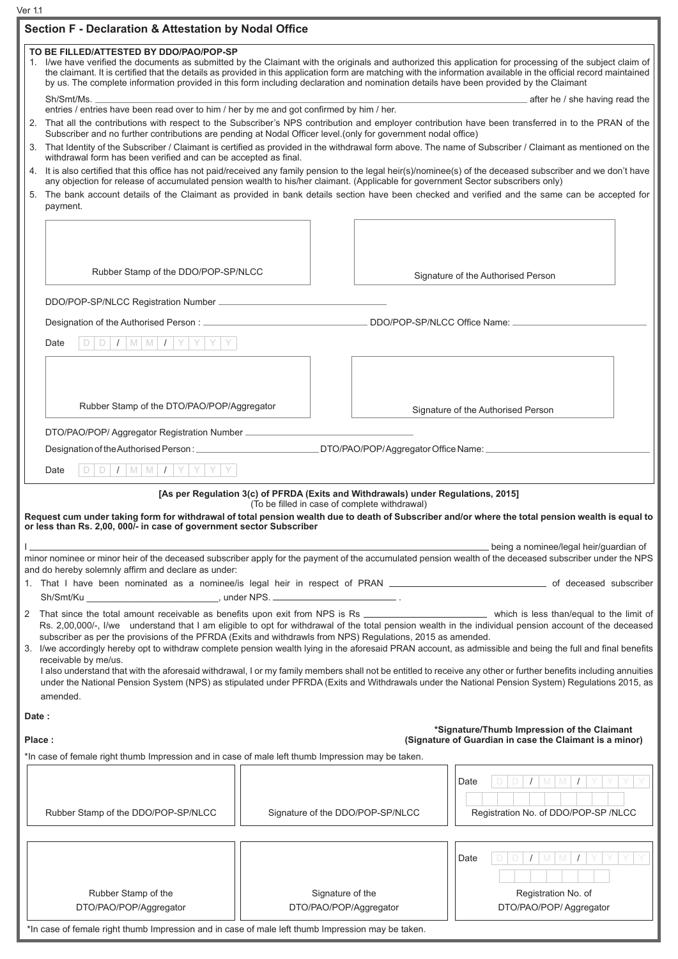Ver 1.1

|        | Section F - Declaration & Attestation by Nodal Office                                                                                                                                                                                                                                                                                                                                           |  |                                                                                                                                    |                                                                                                                                                                                                                                                                                                                                                                                                                                                                                                                                                                                                                                           |  |  |  |  |
|--------|-------------------------------------------------------------------------------------------------------------------------------------------------------------------------------------------------------------------------------------------------------------------------------------------------------------------------------------------------------------------------------------------------|--|------------------------------------------------------------------------------------------------------------------------------------|-------------------------------------------------------------------------------------------------------------------------------------------------------------------------------------------------------------------------------------------------------------------------------------------------------------------------------------------------------------------------------------------------------------------------------------------------------------------------------------------------------------------------------------------------------------------------------------------------------------------------------------------|--|--|--|--|
|        | TO BE FILLED/ATTESTED BY DDO/PAO/POP-SP<br>by us. The complete information provided in this form including declaration and nomination details have been provided by the Claimant                                                                                                                                                                                                                |  |                                                                                                                                    | 1. I/we have verified the documents as submitted by the Claimant with the originals and authorized this application for processing of the subject claim of<br>the claimant. It is certified that the details as provided in this application form are matching with the information available in the official record maintained                                                                                                                                                                                                                                                                                                           |  |  |  |  |
|        | Sh/Smt/Ms.<br>after he / she having read the<br>entries / entries have been read over to him / her by me and got confirmed by him / her.                                                                                                                                                                                                                                                        |  |                                                                                                                                    |                                                                                                                                                                                                                                                                                                                                                                                                                                                                                                                                                                                                                                           |  |  |  |  |
|        | 2. That all the contributions with respect to the Subscriber's NPS contribution and employer contribution have been transferred in to the PRAN of the<br>Subscriber and no further contributions are pending at Nodal Officer level.(only for government nodal office)                                                                                                                          |  |                                                                                                                                    |                                                                                                                                                                                                                                                                                                                                                                                                                                                                                                                                                                                                                                           |  |  |  |  |
|        | 3. That Identity of the Subscriber / Claimant is certified as provided in the withdrawal form above. The name of Subscriber / Claimant as mentioned on the<br>withdrawal form has been verified and can be accepted as final.<br>4. It is also certified that this office has not paid/received any family pension to the legal heir(s)/nominee(s) of the deceased subscriber and we don't have |  |                                                                                                                                    |                                                                                                                                                                                                                                                                                                                                                                                                                                                                                                                                                                                                                                           |  |  |  |  |
|        | any objection for release of accumulated pension wealth to his/her claimant. (Applicable for government Sector subscribers only)<br>5. The bank account details of the Claimant as provided in bank details section have been checked and verified and the same can be accepted for<br>payment.                                                                                                 |  |                                                                                                                                    |                                                                                                                                                                                                                                                                                                                                                                                                                                                                                                                                                                                                                                           |  |  |  |  |
|        |                                                                                                                                                                                                                                                                                                                                                                                                 |  |                                                                                                                                    |                                                                                                                                                                                                                                                                                                                                                                                                                                                                                                                                                                                                                                           |  |  |  |  |
|        | Rubber Stamp of the DDO/POP-SP/NLCC                                                                                                                                                                                                                                                                                                                                                             |  |                                                                                                                                    | Signature of the Authorised Person                                                                                                                                                                                                                                                                                                                                                                                                                                                                                                                                                                                                        |  |  |  |  |
|        |                                                                                                                                                                                                                                                                                                                                                                                                 |  |                                                                                                                                    |                                                                                                                                                                                                                                                                                                                                                                                                                                                                                                                                                                                                                                           |  |  |  |  |
|        | DDO/POP-SP/NLCC Office Name:                                                                                                                                                                                                                                                                                                                                                                    |  |                                                                                                                                    |                                                                                                                                                                                                                                                                                                                                                                                                                                                                                                                                                                                                                                           |  |  |  |  |
|        | $D   D   I   M   M   I   Y   Y   Y   Y$<br>Date                                                                                                                                                                                                                                                                                                                                                 |  |                                                                                                                                    |                                                                                                                                                                                                                                                                                                                                                                                                                                                                                                                                                                                                                                           |  |  |  |  |
|        |                                                                                                                                                                                                                                                                                                                                                                                                 |  |                                                                                                                                    |                                                                                                                                                                                                                                                                                                                                                                                                                                                                                                                                                                                                                                           |  |  |  |  |
|        | Rubber Stamp of the DTO/PAO/POP/Aggregator                                                                                                                                                                                                                                                                                                                                                      |  |                                                                                                                                    | Signature of the Authorised Person                                                                                                                                                                                                                                                                                                                                                                                                                                                                                                                                                                                                        |  |  |  |  |
|        | DTO/PAO/POP/ Aggregator Registration Number _____________                                                                                                                                                                                                                                                                                                                                       |  |                                                                                                                                    |                                                                                                                                                                                                                                                                                                                                                                                                                                                                                                                                                                                                                                           |  |  |  |  |
|        |                                                                                                                                                                                                                                                                                                                                                                                                 |  | DTO/PAO/POP/Aggregator Office Name:                                                                                                |                                                                                                                                                                                                                                                                                                                                                                                                                                                                                                                                                                                                                                           |  |  |  |  |
|        | $\Box$<br>$I$ M M $I$ Y Y<br>Y<br>D<br>Date                                                                                                                                                                                                                                                                                                                                                     |  |                                                                                                                                    |                                                                                                                                                                                                                                                                                                                                                                                                                                                                                                                                                                                                                                           |  |  |  |  |
|        | or less than Rs. 2,00, 000/- in case of government sector Subscriber                                                                                                                                                                                                                                                                                                                            |  | [As per Regulation 3(c) of PFRDA (Exits and Withdrawals) under Regulations, 2015]<br>(To be filled in case of complete withdrawal) | Request cum under taking form for withdrawal of total pension wealth due to death of Subscriber and/or where the total pension wealth is equal to<br>being a nominee/legal heir/guardian of                                                                                                                                                                                                                                                                                                                                                                                                                                               |  |  |  |  |
|        | and do hereby solemnly affirm and declare as under:                                                                                                                                                                                                                                                                                                                                             |  |                                                                                                                                    | minor nominee or minor heir of the deceased subscriber apply for the payment of the accumulated pension wealth of the deceased subscriber under the NPS                                                                                                                                                                                                                                                                                                                                                                                                                                                                                   |  |  |  |  |
|        |                                                                                                                                                                                                                                                                                                                                                                                                 |  |                                                                                                                                    |                                                                                                                                                                                                                                                                                                                                                                                                                                                                                                                                                                                                                                           |  |  |  |  |
|        |                                                                                                                                                                                                                                                                                                                                                                                                 |  |                                                                                                                                    |                                                                                                                                                                                                                                                                                                                                                                                                                                                                                                                                                                                                                                           |  |  |  |  |
|        | subscriber as per the provisions of the PFRDA (Exits and withdrawls from NPS) Regulations, 2015 as amended.<br>receivable by me/us.<br>amended.                                                                                                                                                                                                                                                 |  |                                                                                                                                    | Rs. 2,00,000/-, I/we understand that I am eligible to opt for withdrawal of the total pension wealth in the individual pension account of the deceased<br>I/we accordingly hereby opt to withdraw complete pension wealth lying in the aforesaid PRAN account, as admissible and being the full and final benefits<br>I also understand that with the aforesaid withdrawal, I or my family members shall not be entitled to receive any other or further benefits including annuities<br>under the National Pension System (NPS) as stipulated under PFRDA (Exits and Withdrawals under the National Pension System) Regulations 2015, as |  |  |  |  |
| Date:  |                                                                                                                                                                                                                                                                                                                                                                                                 |  |                                                                                                                                    |                                                                                                                                                                                                                                                                                                                                                                                                                                                                                                                                                                                                                                           |  |  |  |  |
|        |                                                                                                                                                                                                                                                                                                                                                                                                 |  |                                                                                                                                    | *Signature/Thumb Impression of the Claimant                                                                                                                                                                                                                                                                                                                                                                                                                                                                                                                                                                                               |  |  |  |  |
| Place: | *In case of female right thumb Impression and in case of male left thumb Impression may be taken.                                                                                                                                                                                                                                                                                               |  |                                                                                                                                    | (Signature of Guardian in case the Claimant is a minor)                                                                                                                                                                                                                                                                                                                                                                                                                                                                                                                                                                                   |  |  |  |  |
|        |                                                                                                                                                                                                                                                                                                                                                                                                 |  |                                                                                                                                    | Date                                                                                                                                                                                                                                                                                                                                                                                                                                                                                                                                                                                                                                      |  |  |  |  |
|        | Rubber Stamp of the DDO/POP-SP/NLCC                                                                                                                                                                                                                                                                                                                                                             |  | Signature of the DDO/POP-SP/NLCC                                                                                                   | Registration No. of DDO/POP-SP /NLCC                                                                                                                                                                                                                                                                                                                                                                                                                                                                                                                                                                                                      |  |  |  |  |
|        |                                                                                                                                                                                                                                                                                                                                                                                                 |  |                                                                                                                                    | Date<br>M                                                                                                                                                                                                                                                                                                                                                                                                                                                                                                                                                                                                                                 |  |  |  |  |
|        | Rubber Stamp of the<br>DTO/PAO/POP/Aggregator                                                                                                                                                                                                                                                                                                                                                   |  | Signature of the<br>DTO/PAO/POP/Aggregator                                                                                         | Registration No. of<br>DTO/PAO/POP/ Aggregator                                                                                                                                                                                                                                                                                                                                                                                                                                                                                                                                                                                            |  |  |  |  |
|        | *In case of female right thumb Impression and in case of male left thumb Impression may be taken.                                                                                                                                                                                                                                                                                               |  |                                                                                                                                    |                                                                                                                                                                                                                                                                                                                                                                                                                                                                                                                                                                                                                                           |  |  |  |  |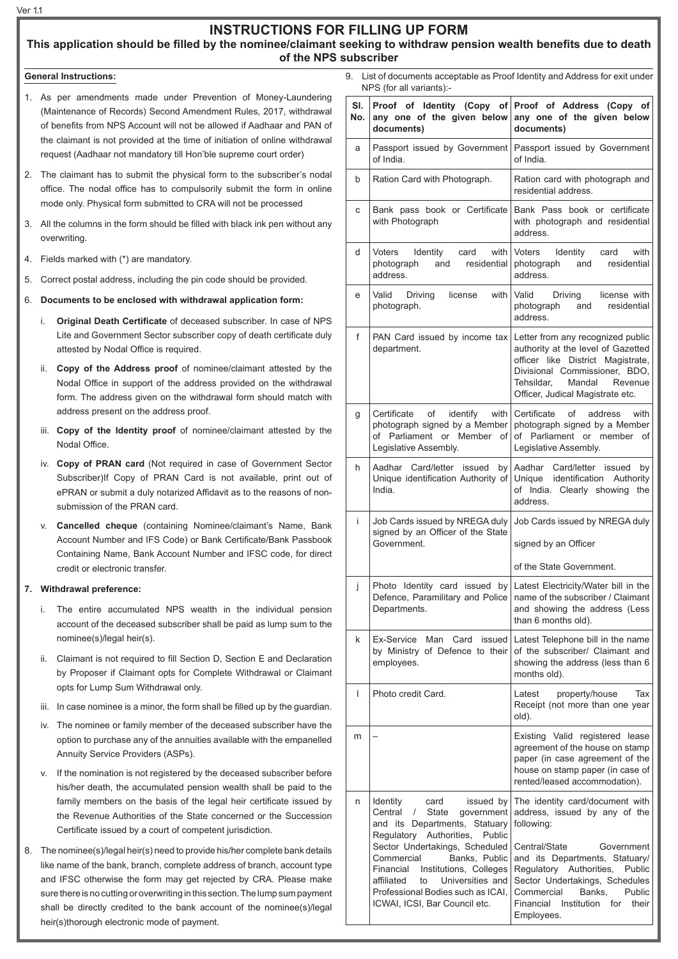# **INSTRUCTIONS FOR FILLING UP FORM**

### **This application should be filled by the nominee/claimant seeking to withdraw pension wealth benefits due to death of the NPS subscriber**

### **General Instructions:**

- 1. As per amendments made under Prevention of Money-Laundering (Maintenance of Records) Second Amendment Rules, 2017, withdrawal of benefits from NPS Account will not be allowed if Aadhaar and PAN of the claimant is not provided at the time of initiation of online withdrawal request (Aadhaar not mandatory till Hon'ble supreme court order)
- 2. The claimant has to submit the physical form to the subscriber's nodal office. The nodal office has to compulsorily submit the form in online mode only. Physical form submitted to CRA will not be processed
- 3. All the columns in the form should be filled with black ink pen without any overwriting.
- 4. Fields marked with (\*) are mandatory.
- 5. Correct postal address, including the pin code should be provided.
- 6. **Documents to be enclosed with withdrawal application form:**
	- i. **Original Death Certificate** of deceased subscriber. In case of NPS Lite and Government Sector subscriber copy of death certificate duly attested by Nodal Office is required.
	- ii. **Copy of the Address proof** of nominee/claimant attested by the Nodal Office in support of the address provided on the withdrawal form. The address given on the withdrawal form should match with address present on the address proof.
	- iii. **Copy of the Identity proof** of nominee/claimant attested by the Nodal Office.
	- iv. **Copy of PRAN card** (Not required in case of Government Sector Subscriber)If Copy of PRAN Card is not available, print out of ePRAN or submit a duly notarized Affidavit as to the reasons of nonsubmission of the PRAN card.
	- v. **Cancelled cheque** (containing Nominee/claimant's Name, Bank Account Number and IFS Code) or Bank Certificate/Bank Passbook Containing Name, Bank Account Number and IFSC code, for direct credit or electronic transfer.

#### **7. Withdrawal preference:**

- i. The entire accumulated NPS wealth in the individual pension account of the deceased subscriber shall be paid as lump sum to the nominee(s)/legal heir(s).
- ii. Claimant is not required to fill Section D, Section E and Declaration by Proposer if Claimant opts for Complete Withdrawal or Claimant opts for Lump Sum Withdrawal only.
- iii. In case nominee is a minor, the form shall be filled up by the guardian.
- iv. The nominee or family member of the deceased subscriber have the option to purchase any of the annuities available with the empanelled Annuity Service Providers (ASPs).
- v. If the nomination is not registered by the deceased subscriber before his/her death, the accumulated pension wealth shall be paid to the family members on the basis of the legal heir certificate issued by the Revenue Authorities of the State concerned or the Succession Certificate issued by a court of competent jurisdiction.
- 8. The nominee(s)/legal heir(s) need to provide his/her complete bank details like name of the bank, branch, complete address of branch, account type and IFSC otherwise the form may get rejected by CRA. Please make sure there is no cutting or overwriting in this section. The lump sum payment shall be directly credited to the bank account of the nominee(s)/legal heir(s)thorough electronic mode of payment.

List of documents acceptable as Proof Identity and Address for exit under NPS (for all variants):-

| SI.<br>No. | any one of the given below<br>documents)                                                                                                                                                                                                                                                                                                                               | Proof of Identity (Copy of Proof of Address (Copy of<br>any one of the given below<br>documents)                                                                                                                                                                                                             |  |  |
|------------|------------------------------------------------------------------------------------------------------------------------------------------------------------------------------------------------------------------------------------------------------------------------------------------------------------------------------------------------------------------------|--------------------------------------------------------------------------------------------------------------------------------------------------------------------------------------------------------------------------------------------------------------------------------------------------------------|--|--|
| а          | Passport issued by Government<br>of India.                                                                                                                                                                                                                                                                                                                             | Passport issued by Government<br>of India.                                                                                                                                                                                                                                                                   |  |  |
| b          | Ration Card with Photograph.                                                                                                                                                                                                                                                                                                                                           | Ration card with photograph and<br>residential address.                                                                                                                                                                                                                                                      |  |  |
| с          | Bank pass book or Certificate<br>with Photograph                                                                                                                                                                                                                                                                                                                       | Bank Pass book or certificate<br>with photograph and residential<br>address.                                                                                                                                                                                                                                 |  |  |
| d          | Voters<br>with  <br>Identity<br>card<br>photograph<br>residential<br>and<br>address.                                                                                                                                                                                                                                                                                   | Voters<br>Identity<br>with<br>card<br>residential<br>photograph<br>and<br>address.                                                                                                                                                                                                                           |  |  |
| е          | Valid<br>Driving<br>license<br>with<br>photograph.                                                                                                                                                                                                                                                                                                                     | Valid<br>license with<br>Driving<br>residential<br>photograph<br>and<br>address.                                                                                                                                                                                                                             |  |  |
| f          | department.                                                                                                                                                                                                                                                                                                                                                            | PAN Card issued by income tax   Letter from any recognized public<br>authority at the level of Gazetted<br>officer like District Magistrate,<br>Divisional Commissioner, BDO,<br>Tehsildar.<br>Mandal<br>Revenue<br>Officer, Judical Magistrate etc.                                                         |  |  |
| g          | of<br>identify<br>Certificate<br>photograph signed by a Member<br>of Parliament or Member of<br>Legislative Assembly.                                                                                                                                                                                                                                                  | with   Certificate<br>οf<br>address<br>with<br>photograph signed by a Member<br>of Parliament or member of<br>Legislative Assembly.                                                                                                                                                                          |  |  |
| h          | Aadhar Card/letter issued<br>by<br>India.                                                                                                                                                                                                                                                                                                                              | Aadhar<br>Card/letter issued<br>bv<br>Unique identification Authority of Unique identification Authority<br>of India.<br>Clearly showing<br>the<br>address.                                                                                                                                                  |  |  |
| Ĺ          | signed by an Officer of the State<br>Government.                                                                                                                                                                                                                                                                                                                       | Job Cards issued by NREGA duly   Job Cards issued by NREGA duly<br>signed by an Officer                                                                                                                                                                                                                      |  |  |
|            |                                                                                                                                                                                                                                                                                                                                                                        | of the State Government.                                                                                                                                                                                                                                                                                     |  |  |
| j          | Departments.                                                                                                                                                                                                                                                                                                                                                           | Photo Identity card issued by Latest Electricity/Water bill in the<br>Defence, Paramilitary and Police   name of the subscriber / Claimant<br>and showing the address (Less<br>than 6 months old).                                                                                                           |  |  |
| k          | Ex-Service<br>Man Card<br>issued<br>by Ministry of Defence to their<br>employees.                                                                                                                                                                                                                                                                                      | Latest Telephone bill in the name<br>of the subscriber/ Claimant and<br>showing the address (less than 6<br>months old).                                                                                                                                                                                     |  |  |
| T          | Photo credit Card.                                                                                                                                                                                                                                                                                                                                                     | Latest<br>property/house<br>Tax<br>Receipt (not more than one year<br>old).                                                                                                                                                                                                                                  |  |  |
| m          |                                                                                                                                                                                                                                                                                                                                                                        | Existing Valid registered lease<br>agreement of the house on stamp<br>paper (in case agreement of the<br>house on stamp paper (in case of<br>rented/leased accommodation).                                                                                                                                   |  |  |
| n          | Identity<br>issued by<br>card<br>Central<br>$\sqrt{2}$<br>State<br>government<br>and its Departments, Statuary<br>Regulatory Authorities,<br>Public<br>Sector Undertakings, Scheduled<br>Banks, Public<br>Commercial<br>Financial Institutions, Colleges<br>Universities and<br>affiliated<br>to<br>Professional Bodies such as ICAI,<br>ICWAI, ICSI, Bar Council etc. | The identity card/document with<br>address, issued by any of the<br>following:<br>Central/State<br>Government<br>and its Departments, Statuary/<br>Regulatory Authorities,<br>Public<br>Sector Undertakings, Schedules<br>Banks,<br>Commercial<br>Public<br>Financial Institution for<br>their<br>Employees. |  |  |